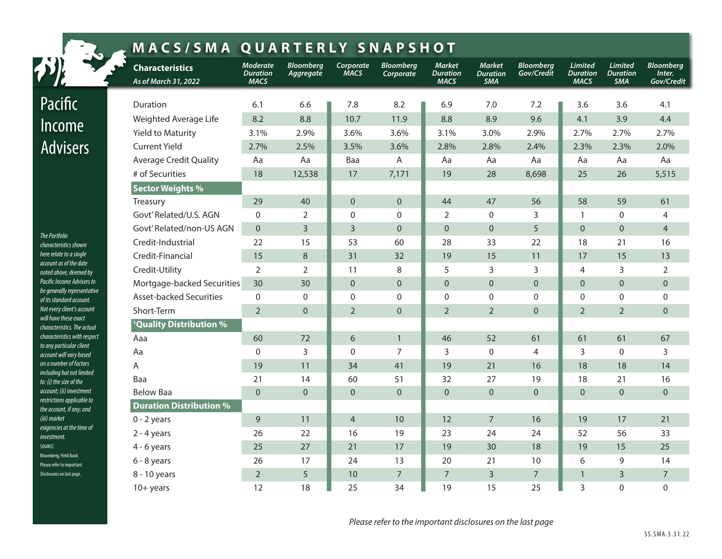| <b>MACS/SMA QUARTERLY SNAPSHOT</b>                                                   |                                                |                                                   |                               |                          |                               |                                                 |                                                |                                |                                           |                                                 |                                          |
|--------------------------------------------------------------------------------------|------------------------------------------------|---------------------------------------------------|-------------------------------|--------------------------|-------------------------------|-------------------------------------------------|------------------------------------------------|--------------------------------|-------------------------------------------|-------------------------------------------------|------------------------------------------|
|                                                                                      | <b>Characteristics</b><br>As of March 31, 2022 | <b>Moderate</b><br><b>Duration</b><br><b>MACS</b> | <b>Bloomberg</b><br>Aggregate | Corporate<br><b>MACS</b> | <b>Bloomberg</b><br>Corporate | <b>Market</b><br><b>Duration</b><br><b>MACS</b> | <b>Market</b><br><b>Duration</b><br><b>SMA</b> | <b>Bloomberg</b><br>Gov/Credit | <b>Limited</b><br>Duration<br><b>MACS</b> | <b>Limited</b><br><b>Duration</b><br><b>SMA</b> | <b>Bloomberg</b><br>Inter.<br>Gov/Credit |
| Pacific                                                                              | Duration                                       | 6.1                                               | 6.6                           | 7.8                      | 8.2                           | 6.9                                             | 7.0                                            | 7.2                            | 3.6                                       | 3.6                                             | 4.1                                      |
|                                                                                      | Weighted Average Life                          | 8.2                                               | 8.8                           | 10.7                     | 11.9                          | 8.8                                             | 8.9                                            | 9.6                            | 4.1                                       | 3.9                                             | 4.4                                      |
| <b>Income</b>                                                                        | Yield to Maturity                              | 3.1%                                              | 2.9%                          | 3.6%                     | 3.6%                          | 3.1%                                            | 3.0%                                           | 2.9%                           | 2.7%                                      | 2.7%                                            | 2.7%                                     |
| <b>Advisers</b><br>The Portfolio<br>characteristics shown<br>here relate to a single | <b>Current Yield</b>                           | 2.7%                                              | 2.5%                          | 3.5%                     | 3.6%                          | 2.8%                                            | 2.8%                                           | 2.4%                           | 2.3%                                      | 2.3%                                            | 2.0%                                     |
|                                                                                      | <b>Average Credit Quality</b>                  | Aa                                                | Aa                            | Baa                      | A                             | Aa                                              | Aa                                             | Aa                             | Aa                                        | Aa                                              | Aa                                       |
|                                                                                      | # of Securities                                | 18                                                | 12,538                        | 17                       | 7,171                         | 19                                              | 28                                             | 8,698                          | 25                                        | 26                                              | 5,515                                    |
|                                                                                      | <b>Sector Weights %</b>                        |                                                   |                               |                          |                               |                                                 |                                                |                                |                                           |                                                 |                                          |
|                                                                                      | Treasury                                       | 29                                                | 40                            | $\overline{0}$           | $\mathbf 0$                   | 44                                              | 47                                             | 56                             | 58                                        | 59                                              | 61                                       |
|                                                                                      | Govt' Related/U.S. AGN                         | $\mathbf{0}$                                      | $\overline{2}$                | $\Omega$                 | $\mathbf{0}$                  | $\overline{2}$                                  | $\Omega$                                       | 3                              | $\mathbf{1}$                              | $\Omega$                                        | $\overline{4}$                           |
|                                                                                      | Govt' Related/non-US AGN                       | $\overline{0}$                                    | $\overline{3}$                | 3                        | $\mathbf 0$                   | $\mathbf{0}$                                    | $\overline{0}$                                 | 5                              | $\overline{0}$                            | $\mathbf{0}$                                    | $\overline{4}$                           |
|                                                                                      | Credit-Industrial                              | 22                                                | 15                            | 53                       | 60                            | 28                                              | 33                                             | 22                             | 18                                        | 21                                              | 16                                       |
|                                                                                      | Credit-Financial                               | 15                                                | $\,8\,$                       | 31                       | 32                            | 19                                              | 15                                             | 11                             | 17                                        | 15                                              | 13                                       |
| account as of the date<br>noted above, deemed by                                     | Credit-Utility                                 | 2                                                 | $\overline{2}$                | 11                       | 8                             | 5                                               | 3                                              | 3                              | $\overline{4}$                            | 3                                               | 2                                        |
| Pacific Income Advisers to                                                           | Mortgage-backed Securities                     | 30                                                | 30                            | $\overline{0}$           | $\mathbf 0$                   | $\mathbf{0}$                                    | $\mathbf{0}$                                   | $\overline{0}$                 | $\overline{0}$                            | $\Omega$                                        | $\mathbf{0}$                             |
| be generally representative<br>of its standard account.                              | <b>Asset-backed Securities</b>                 | $\mathbf 0$                                       | $\boldsymbol{0}$              | $\mathbf 0$              | $\mathbf 0$                   | $\boldsymbol{0}$                                | $\mathbf 0$                                    | $\mathbf 0$                    | $\mathbf 0$                               | $\mathbf 0$                                     | $\boldsymbol{0}$                         |
| Not every client's account                                                           | Short-Term                                     | $\overline{2}$                                    | $\Omega$                      | $\overline{2}$           | $\overline{0}$                | $\overline{2}$                                  | $\overline{2}$                                 | $\overline{0}$                 | $\overline{2}$                            | $\overline{2}$                                  | $\mathbf{0}$                             |
| will have these exact<br>characteristics. The actual                                 | <sup>1</sup> Quality Distribution %            |                                                   |                               |                          |                               |                                                 |                                                |                                |                                           |                                                 |                                          |
| characteristics with respect<br>to any particular client<br>account will vary based  | Aaa                                            | 60                                                | 72                            | 6                        | $\mathbf{1}$                  | 46                                              | 52                                             | 61                             | 61                                        | 61                                              | 67                                       |
|                                                                                      | Aa                                             | $\mathbf{0}$                                      | 3                             | $\Omega$                 | 7                             | 3                                               | $\Omega$                                       | $\overline{4}$                 | 3                                         | $\Omega$                                        | $\overline{3}$                           |
| on a number of factors                                                               | Α                                              | 19                                                | 11                            | 34                       | 41                            | 19                                              | 21                                             | 16                             | 18                                        | 18                                              | 14                                       |
| including but not limited<br>to: (i) the size of the                                 | Baa                                            | 21                                                | 14                            | 60                       | 51                            | 32                                              | 27                                             | 19                             | 18                                        | 21                                              | 16                                       |
| account; (ii) investment                                                             | <b>Below Baa</b>                               | $\mathbf 0$                                       | $\overline{0}$                | $\overline{0}$           | $\Omega$                      | $\overline{0}$                                  | $\mathbf{0}$                                   | $\overline{0}$                 | $\overline{0}$                            | $\mathbf{0}$                                    | $\mathbf{0}$                             |
| restrictions applicable to<br>the account, if any; and                               | <b>Duration Distribution %</b>                 |                                                   |                               |                          |                               |                                                 |                                                |                                |                                           |                                                 |                                          |
| (iii) market                                                                         | $0 - 2$ years                                  | 9                                                 | 11                            | $\overline{4}$           | 10                            | 12                                              | $\overline{7}$                                 | 16                             | 19                                        | 17                                              | 21                                       |
| exigencies at the time of<br>investment.                                             | $2 - 4$ years                                  | 26                                                | 22                            | 16                       | 19                            | 23                                              | 24                                             | 24                             | 52                                        | 56                                              | 33                                       |
| SOURCE:                                                                              | $4 - 6$ years                                  | 25                                                | 27                            | 21                       | 17                            | 19                                              | 30                                             | 18                             | 19                                        | 15                                              | 25                                       |
| <b>Bloomberg, Yield Book</b><br>Please refer to important                            | $6 - 8$ years                                  | 26                                                | 17                            | 24                       | 13                            | 20                                              | 21                                             | 10                             | 6                                         | 9                                               | 14                                       |
| Disclosures on last page.                                                            | 8 - 10 years                                   | $\overline{2}$                                    | 5                             | 10                       | $\overline{7}$                | $\boldsymbol{7}$                                | $\overline{3}$                                 | $\overline{7}$                 | $\mathbf{1}$                              | $\overline{3}$                                  | $\boldsymbol{7}$                         |
|                                                                                      | $10+$ years                                    | 12                                                | 18                            | 25                       | 34                            | 19                                              | 15                                             | 25                             | 3                                         | $\mathbf{0}$                                    | $\mathbf{0}$                             |